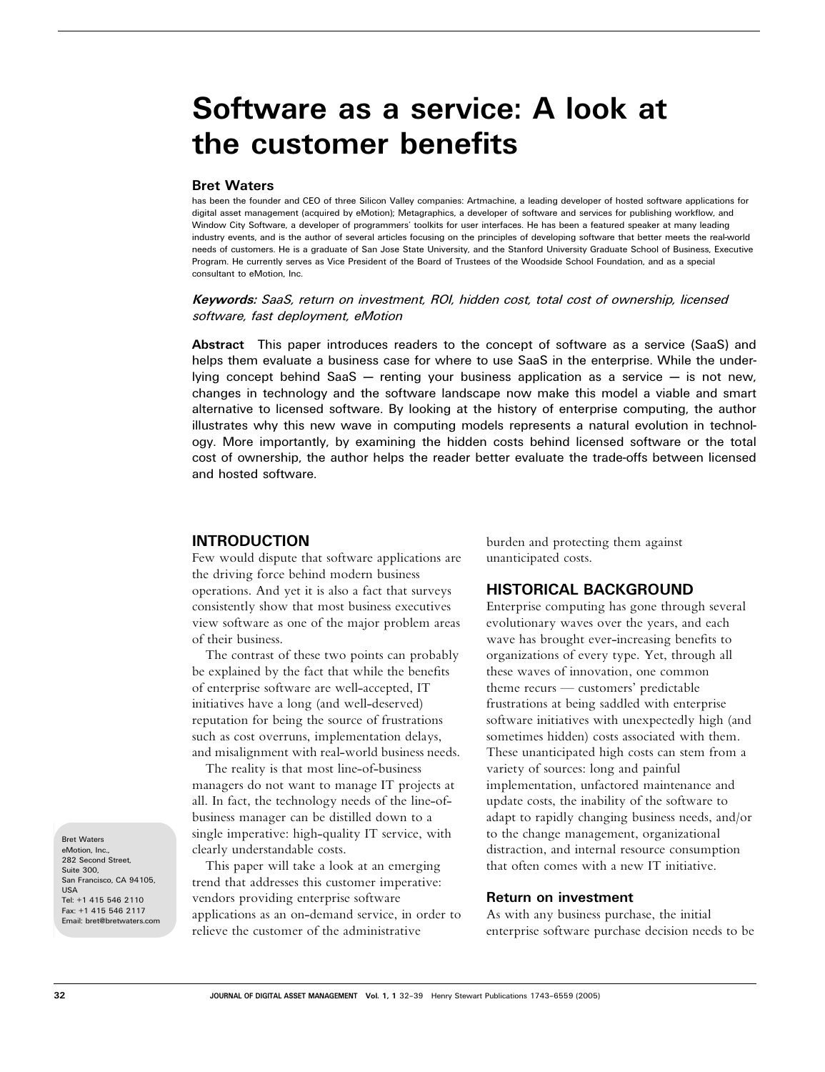# Software as a service: A look at the customer benefits

#### Bret Waters

has been the founder and CEO of three Silicon Valley companies: Artmachine, a leading developer of hosted software applications for digital asset management (acquired by eMotion); Metagraphics, a developer of software and services for publishing workflow, and Window City Software, a developer of programmers' toolkits for user interfaces. He has been a featured speaker at many leading industry events, and is the author of several articles focusing on the principles of developing software that better meets the real-world needs of customers. He is a graduate of San Jose State University, and the Stanford University Graduate School of Business, Executive Program. He currently serves as Vice President of the Board of Trustees of the Woodside School Foundation, and as a special consultant to eMotion, Inc.

#### Keywords: SaaS, return on investment, ROI, hidden cost, total cost of ownership, licensed software, fast deployment, eMotion

Abstract This paper introduces readers to the concept of software as a service (SaaS) and helps them evaluate a business case for where to use SaaS in the enterprise. While the underlying concept behind SaaS — renting your business application as a service — is not new, changes in technology and the software landscape now make this model a viable and smart alternative to licensed software. By looking at the history of enterprise computing, the author illustrates why this new wave in computing models represents a natural evolution in technology. More importantly, by examining the hidden costs behind licensed software or the total cost of ownership, the author helps the reader better evaluate the trade-offs between licensed and hosted software.

## INTRODUCTION

Few would dispute that software applications are the driving force behind modern business operations. And yet it is also a fact that surveys consistently show that most business executives view software as one of the major problem areas of their business.

The contrast of these two points can probably be explained by the fact that while the benefits of enterprise software are well-accepted, IT initiatives have a long (and well-deserved) reputation for being the source of frustrations such as cost overruns, implementation delays, and misalignment with real-world business needs.

The reality is that most line-of-business managers do not want to manage IT projects at all. In fact, the technology needs of the line-ofbusiness manager can be distilled down to a single imperative: high-quality IT service, with clearly understandable costs.

This paper will take a look at an emerging trend that addresses this customer imperative: vendors providing enterprise software applications as an on-demand service, in order to relieve the customer of the administrative

burden and protecting them against unanticipated costs.

# HISTORICAL BACKGROUND

Enterprise computing has gone through several evolutionary waves over the years, and each wave has brought ever-increasing benefits to organizations of every type. Yet, through all these waves of innovation, one common theme recurs — customers' predictable frustrations at being saddled with enterprise software initiatives with unexpectedly high (and sometimes hidden) costs associated with them. These unanticipated high costs can stem from a variety of sources: long and painful implementation, unfactored maintenance and update costs, the inability of the software to adapt to rapidly changing business needs, and/or to the change management, organizational distraction, and internal resource consumption that often comes with a new IT initiative.

## Return on investment

As with any business purchase, the initial enterprise software purchase decision needs to be

Bret Waters eMotion, Inc., 282 Second Street, Suite 300, San Francisco, CA 94105, USA Tel: +1 415 546 2110 Fax: +1 415 546 2117 Email: bret@bretwaters.com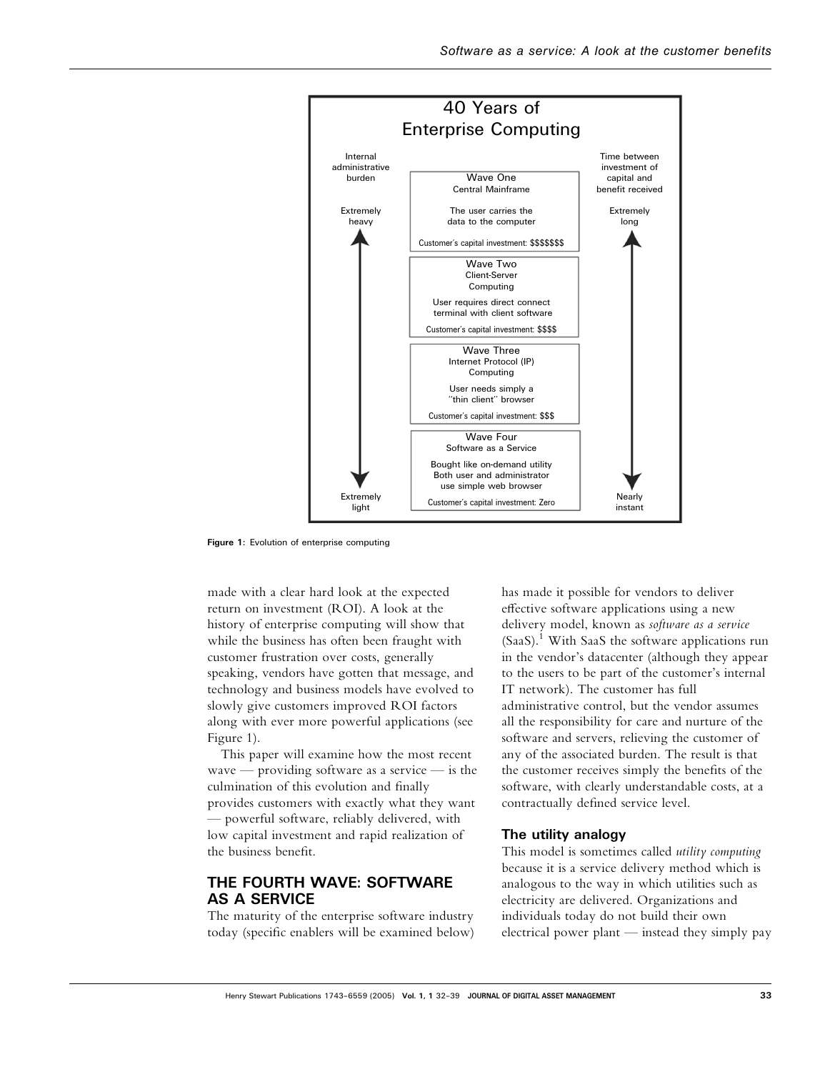

Figure 1: Evolution of enterprise computing

made with a clear hard look at the expected return on investment (ROI). A look at the history of enterprise computing will show that while the business has often been fraught with customer frustration over costs, generally speaking, vendors have gotten that message, and technology and business models have evolved to slowly give customers improved ROI factors along with ever more powerful applications (see Figure 1).

This paper will examine how the most recent wave — providing software as a service — is the culmination of this evolution and finally provides customers with exactly what they want — powerful software, reliably delivered, with low capital investment and rapid realization of the business benefit.

# THE FOURTH WAVE: SOFTWARE AS A SERVICE

The maturity of the enterprise software industry today (specific enablers will be examined below) has made it possible for vendors to deliver effective software applications using a new delivery model, known as software as a service  $(SaaS).<sup>1</sup>$  With SaaS the software applications run in the vendor's datacenter (although they appear to the users to be part of the customer's internal IT network). The customer has full administrative control, but the vendor assumes all the responsibility for care and nurture of the software and servers, relieving the customer of any of the associated burden. The result is that the customer receives simply the benefits of the software, with clearly understandable costs, at a contractually defined service level.

#### The utility analogy

This model is sometimes called utility computing because it is a service delivery method which is analogous to the way in which utilities such as electricity are delivered. Organizations and individuals today do not build their own electrical power plant — instead they simply pay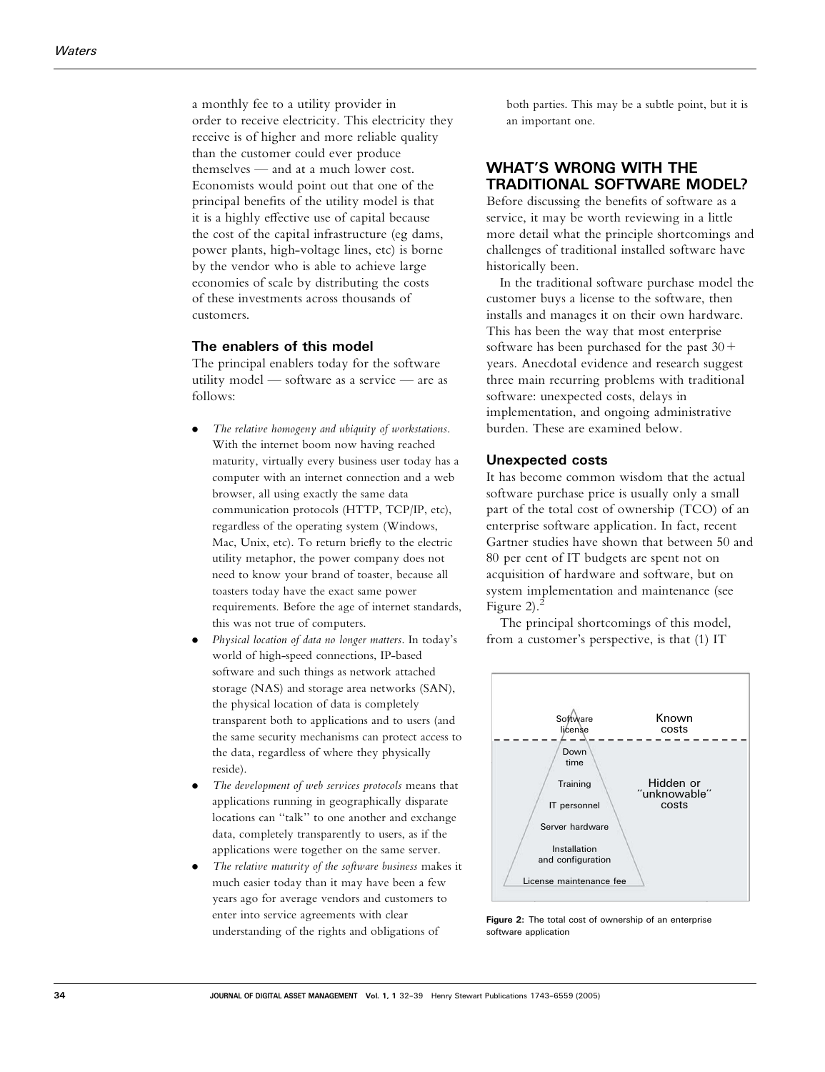a monthly fee to a utility provider in order to receive electricity. This electricity they receive is of higher and more reliable quality than the customer could ever produce themselves — and at a much lower cost. Economists would point out that one of the principal benefits of the utility model is that it is a highly effective use of capital because the cost of the capital infrastructure (eg dams, power plants, high-voltage lines, etc) is borne by the vendor who is able to achieve large economies of scale by distributing the costs of these investments across thousands of customers.

## The enablers of this model

The principal enablers today for the software utility model — software as a service — are as follows:

- . The relative homogeny and ubiquity of workstations. With the internet boom now having reached maturity, virtually every business user today has a computer with an internet connection and a web browser, all using exactly the same data communication protocols (HTTP, TCP/IP, etc), regardless of the operating system (Windows, Mac, Unix, etc). To return briefly to the electric utility metaphor, the power company does not need to know your brand of toaster, because all toasters today have the exact same power requirements. Before the age of internet standards, this was not true of computers.
- . Physical location of data no longer matters. In today's world of high-speed connections, IP-based software and such things as network attached storage (NAS) and storage area networks (SAN), the physical location of data is completely transparent both to applications and to users (and the same security mechanisms can protect access to the data, regardless of where they physically reside).
- . The development of web services protocols means that applications running in geographically disparate locations can ''talk'' to one another and exchange data, completely transparently to users, as if the applications were together on the same server.
- . The relative maturity of the software business makes it much easier today than it may have been a few years ago for average vendors and customers to enter into service agreements with clear understanding of the rights and obligations of

both parties. This may be a subtle point, but it is an important one.

# WHAT'S WRONG WITH THE TRADITIONAL SOFTWARE MODEL?

Before discussing the benefits of software as a service, it may be worth reviewing in a little more detail what the principle shortcomings and challenges of traditional installed software have historically been.

In the traditional software purchase model the customer buys a license to the software, then installs and manages it on their own hardware. This has been the way that most enterprise software has been purchased for the past  $30+$ years. Anecdotal evidence and research suggest three main recurring problems with traditional software: unexpected costs, delays in implementation, and ongoing administrative burden. These are examined below.

#### Unexpected costs

It has become common wisdom that the actual software purchase price is usually only a small part of the total cost of ownership (TCO) of an enterprise software application. In fact, recent Gartner studies have shown that between 50 and 80 per cent of IT budgets are spent not on acquisition of hardware and software, but on system implementation and maintenance (see Figure 2). $^{2}$ 

The principal shortcomings of this model, from a customer's perspective, is that (1) IT



Figure 2: The total cost of ownership of an enterprise software application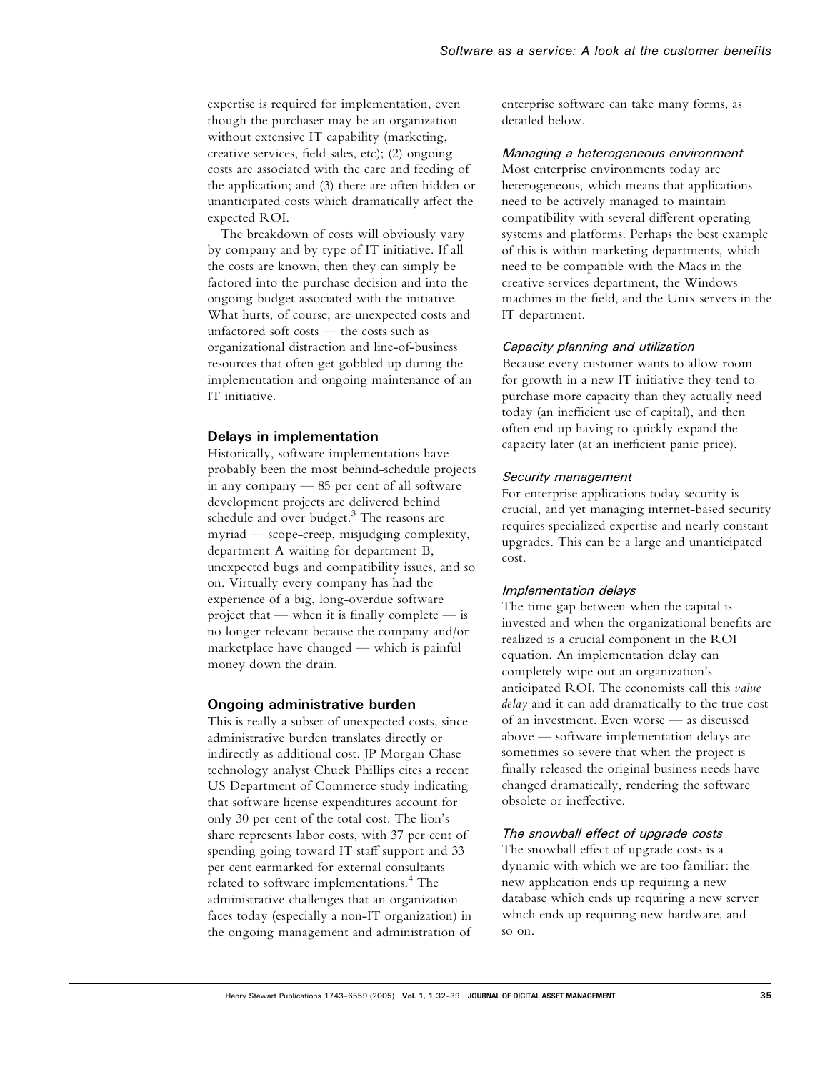expertise is required for implementation, even though the purchaser may be an organization without extensive IT capability (marketing, creative services, field sales, etc); (2) ongoing costs are associated with the care and feeding of the application; and (3) there are often hidden or unanticipated costs which dramatically affect the expected ROI.

The breakdown of costs will obviously vary by company and by type of IT initiative. If all the costs are known, then they can simply be factored into the purchase decision and into the ongoing budget associated with the initiative. What hurts, of course, are unexpected costs and unfactored soft costs — the costs such as organizational distraction and line-of-business resources that often get gobbled up during the implementation and ongoing maintenance of an IT initiative.

#### Delays in implementation

Historically, software implementations have probably been the most behind-schedule projects in any company — 85 per cent of all software development projects are delivered behind schedule and over budget.<sup>3</sup> The reasons are myriad — scope-creep, misjudging complexity, department A waiting for department B, unexpected bugs and compatibility issues, and so on. Virtually every company has had the experience of a big, long-overdue software project that — when it is finally complete — is no longer relevant because the company and/or marketplace have changed — which is painful money down the drain.

#### Ongoing administrative burden

This is really a subset of unexpected costs, since administrative burden translates directly or indirectly as additional cost. JP Morgan Chase technology analyst Chuck Phillips cites a recent US Department of Commerce study indicating that software license expenditures account for only 30 per cent of the total cost. The lion's share represents labor costs, with 37 per cent of spending going toward IT staff support and 33 per cent earmarked for external consultants related to software implementations.<sup>4</sup> The administrative challenges that an organization faces today (especially a non-IT organization) in the ongoing management and administration of enterprise software can take many forms, as detailed below.

#### Managing a heterogeneous environment

Most enterprise environments today are heterogeneous, which means that applications need to be actively managed to maintain compatibility with several different operating systems and platforms. Perhaps the best example of this is within marketing departments, which need to be compatible with the Macs in the creative services department, the Windows machines in the field, and the Unix servers in the IT department.

#### Capacity planning and utilization

Because every customer wants to allow room for growth in a new IT initiative they tend to purchase more capacity than they actually need today (an inefficient use of capital), and then often end up having to quickly expand the capacity later (at an inefficient panic price).

#### Security management

For enterprise applications today security is crucial, and yet managing internet-based security requires specialized expertise and nearly constant upgrades. This can be a large and unanticipated cost.

## Implementation delays

The time gap between when the capital is invested and when the organizational benefits are realized is a crucial component in the ROI equation. An implementation delay can completely wipe out an organization's anticipated ROI. The economists call this value delay and it can add dramatically to the true cost of an investment. Even worse — as discussed above — software implementation delays are sometimes so severe that when the project is finally released the original business needs have changed dramatically, rendering the software obsolete or ineffective.

#### The snowball effect of upgrade costs

The snowball effect of upgrade costs is a dynamic with which we are too familiar: the new application ends up requiring a new database which ends up requiring a new server which ends up requiring new hardware, and so on.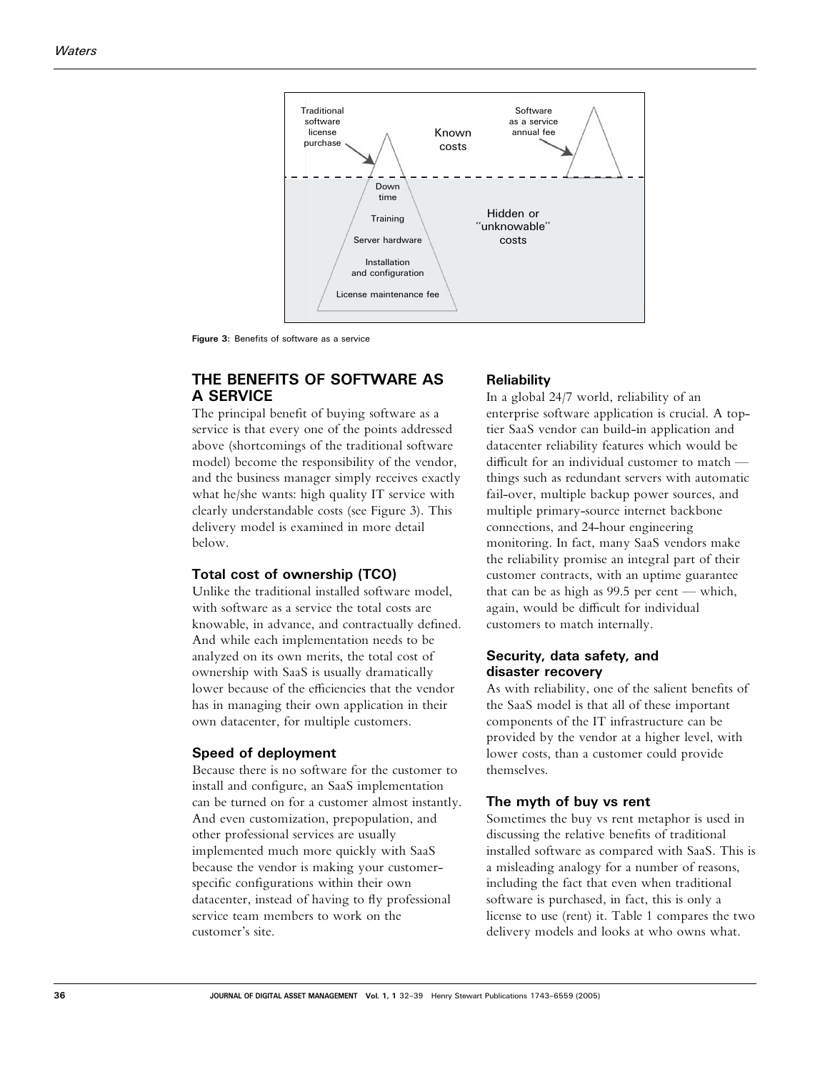

Figure 3: Benefits of software as a service

# THE BENEFITS OF SOFTWARE AS A SERVICE

The principal benefit of buying software as a service is that every one of the points addressed above (shortcomings of the traditional software model) become the responsibility of the vendor, and the business manager simply receives exactly what he/she wants: high quality IT service with clearly understandable costs (see Figure 3). This delivery model is examined in more detail below.

#### Total cost of ownership (TCO)

Unlike the traditional installed software model, with software as a service the total costs are knowable, in advance, and contractually defined. And while each implementation needs to be analyzed on its own merits, the total cost of ownership with SaaS is usually dramatically lower because of the efficiencies that the vendor has in managing their own application in their own datacenter, for multiple customers.

#### Speed of deployment

Because there is no software for the customer to install and configure, an SaaS implementation can be turned on for a customer almost instantly. And even customization, prepopulation, and other professional services are usually implemented much more quickly with SaaS because the vendor is making your customerspecific configurations within their own datacenter, instead of having to fly professional service team members to work on the customer's site.

## **Reliability**

In a global 24/7 world, reliability of an enterprise software application is crucial. A toptier SaaS vendor can build-in application and datacenter reliability features which would be difficult for an individual customer to match things such as redundant servers with automatic fail-over, multiple backup power sources, and multiple primary-source internet backbone connections, and 24-hour engineering monitoring. In fact, many SaaS vendors make the reliability promise an integral part of their customer contracts, with an uptime guarantee that can be as high as  $99.5$  per cent — which, again, would be difficult for individual customers to match internally.

## Security, data safety, and disaster recovery

As with reliability, one of the salient benefits of the SaaS model is that all of these important components of the IT infrastructure can be provided by the vendor at a higher level, with lower costs, than a customer could provide themselves.

#### The myth of buy vs rent

Sometimes the buy vs rent metaphor is used in discussing the relative benefits of traditional installed software as compared with SaaS. This is a misleading analogy for a number of reasons, including the fact that even when traditional software is purchased, in fact, this is only a license to use (rent) it. Table 1 compares the two delivery models and looks at who owns what.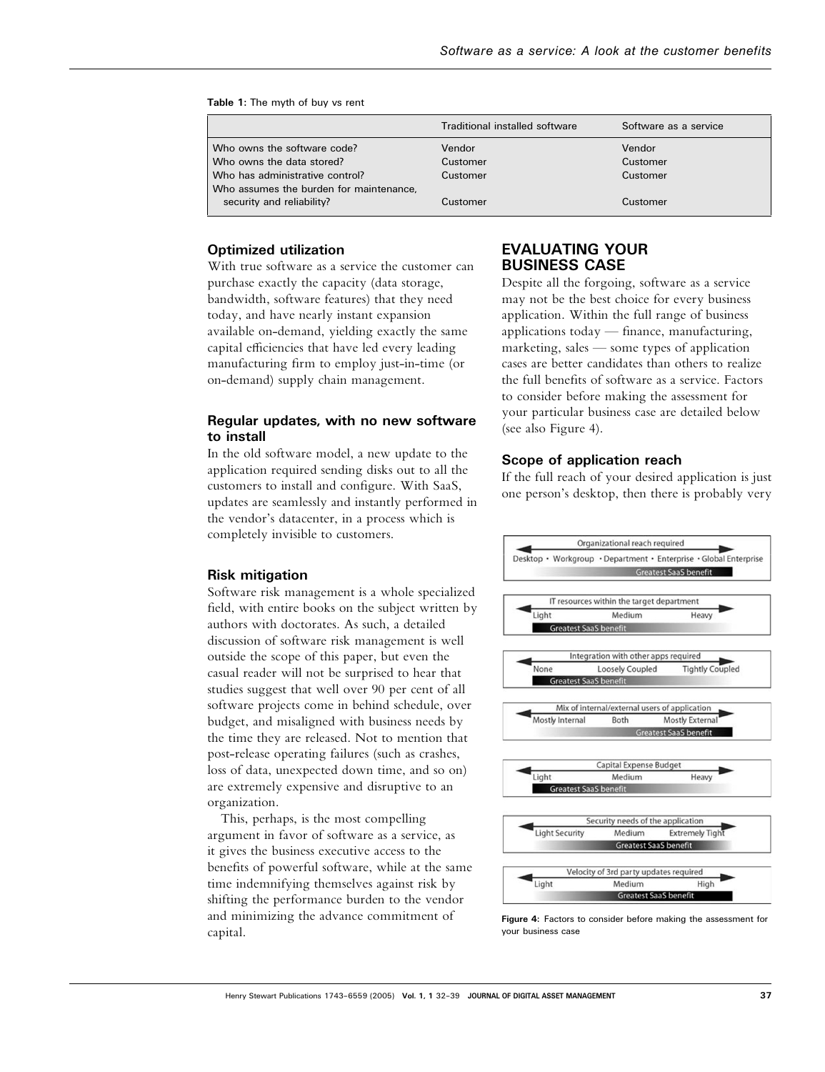Table 1: The myth of buy vs rent

|                                         | Traditional installed software | Software as a service |
|-----------------------------------------|--------------------------------|-----------------------|
| Who owns the software code?             | Vendor                         | Vendor                |
| Who owns the data stored?               | Customer                       | Customer              |
| Who has administrative control?         | Customer                       | Customer              |
| Who assumes the burden for maintenance, |                                |                       |
| security and reliability?               | Customer                       | Customer              |

## Optimized utilization

With true software as a service the customer can purchase exactly the capacity (data storage, bandwidth, software features) that they need today, and have nearly instant expansion available on-demand, yielding exactly the same capital efficiencies that have led every leading manufacturing firm to employ just-in-time (or on-demand) supply chain management.

## Regular updates, with no new software to install

In the old software model, a new update to the application required sending disks out to all the customers to install and configure. With SaaS, updates are seamlessly and instantly performed in the vendor's datacenter, in a process which is completely invisible to customers.

#### Risk mitigation

Software risk management is a whole specialized field, with entire books on the subject written by authors with doctorates. As such, a detailed discussion of software risk management is well outside the scope of this paper, but even the casual reader will not be surprised to hear that studies suggest that well over 90 per cent of all software projects come in behind schedule, over budget, and misaligned with business needs by the time they are released. Not to mention that post-release operating failures (such as crashes, loss of data, unexpected down time, and so on) are extremely expensive and disruptive to an organization.

This, perhaps, is the most compelling argument in favor of software as a service, as it gives the business executive access to the benefits of powerful software, while at the same time indemnifying themselves against risk by shifting the performance burden to the vendor and minimizing the advance commitment of capital.

# EVALUATING YOUR BUSINESS CASE

Despite all the forgoing, software as a service may not be the best choice for every business application. Within the full range of business applications today — finance, manufacturing, marketing, sales — some types of application cases are better candidates than others to realize the full benefits of software as a service. Factors to consider before making the assessment for your particular business case are detailed below (see also Figure 4).

## Scope of application reach

If the full reach of your desired application is just one person's desktop, then there is probably very



Figure 4: Factors to consider before making the assessment for your business case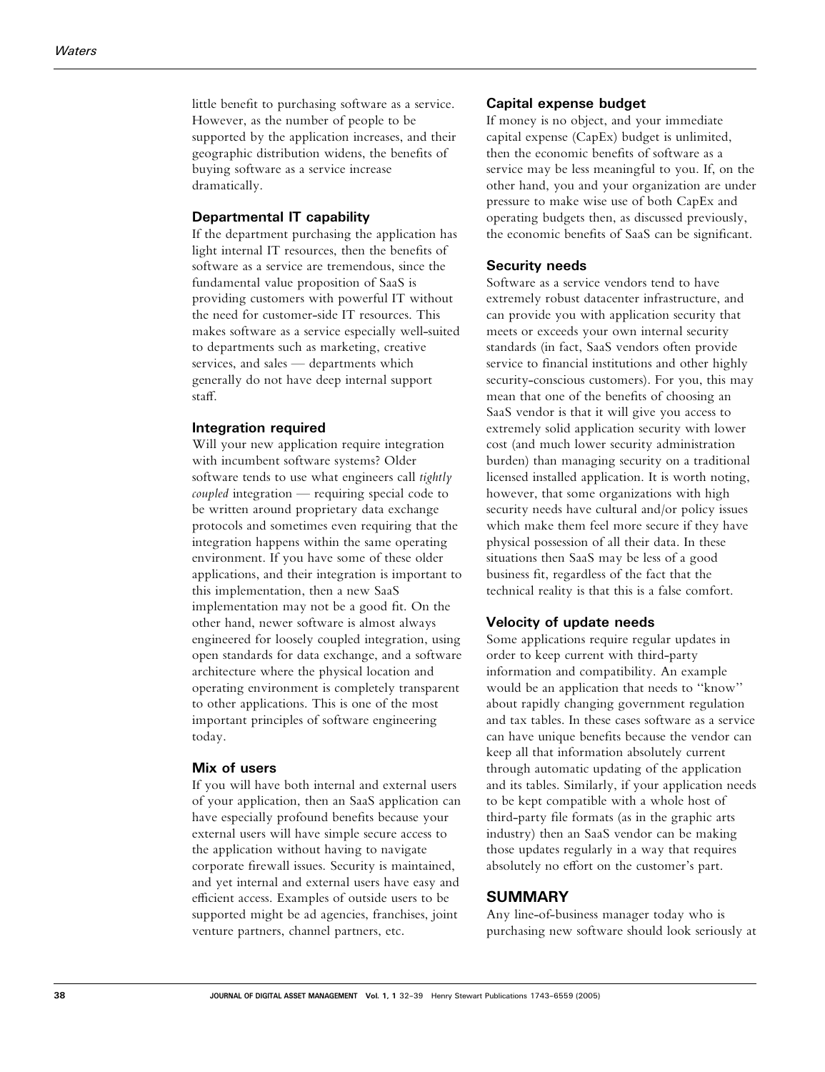little benefit to purchasing software as a service. However, as the number of people to be supported by the application increases, and their geographic distribution widens, the benefits of buying software as a service increase dramatically.

## Departmental IT capability

If the department purchasing the application has light internal IT resources, then the benefits of software as a service are tremendous, since the fundamental value proposition of SaaS is providing customers with powerful IT without the need for customer-side IT resources. This makes software as a service especially well-suited to departments such as marketing, creative services, and sales — departments which generally do not have deep internal support staff.

#### Integration required

Will your new application require integration with incumbent software systems? Older software tends to use what engineers call tightly coupled integration — requiring special code to be written around proprietary data exchange protocols and sometimes even requiring that the integration happens within the same operating environment. If you have some of these older applications, and their integration is important to this implementation, then a new SaaS implementation may not be a good fit. On the other hand, newer software is almost always engineered for loosely coupled integration, using open standards for data exchange, and a software architecture where the physical location and operating environment is completely transparent to other applications. This is one of the most important principles of software engineering today.

## Mix of users

If you will have both internal and external users of your application, then an SaaS application can have especially profound benefits because your external users will have simple secure access to the application without having to navigate corporate firewall issues. Security is maintained, and yet internal and external users have easy and efficient access. Examples of outside users to be supported might be ad agencies, franchises, joint venture partners, channel partners, etc.

## Capital expense budget

If money is no object, and your immediate capital expense (CapEx) budget is unlimited, then the economic benefits of software as a service may be less meaningful to you. If, on the other hand, you and your organization are under pressure to make wise use of both CapEx and operating budgets then, as discussed previously, the economic benefits of SaaS can be significant.

## Security needs

Software as a service vendors tend to have extremely robust datacenter infrastructure, and can provide you with application security that meets or exceeds your own internal security standards (in fact, SaaS vendors often provide service to financial institutions and other highly security-conscious customers). For you, this may mean that one of the benefits of choosing an SaaS vendor is that it will give you access to extremely solid application security with lower cost (and much lower security administration burden) than managing security on a traditional licensed installed application. It is worth noting, however, that some organizations with high security needs have cultural and/or policy issues which make them feel more secure if they have physical possession of all their data. In these situations then SaaS may be less of a good business fit, regardless of the fact that the technical reality is that this is a false comfort.

#### Velocity of update needs

Some applications require regular updates in order to keep current with third-party information and compatibility. An example would be an application that needs to ''know'' about rapidly changing government regulation and tax tables. In these cases software as a service can have unique benefits because the vendor can keep all that information absolutely current through automatic updating of the application and its tables. Similarly, if your application needs to be kept compatible with a whole host of third-party file formats (as in the graphic arts industry) then an SaaS vendor can be making those updates regularly in a way that requires absolutely no effort on the customer's part.

## SUMMARY

Any line-of-business manager today who is purchasing new software should look seriously at